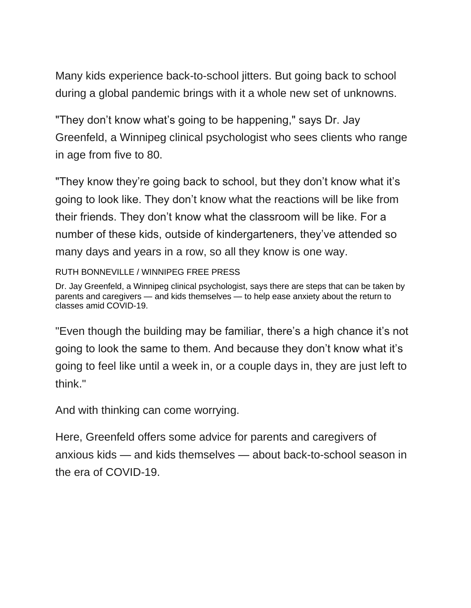Many kids experience back-to-school jitters. But going back to school during a global pandemic brings with it a whole new set of unknowns.

"They don't know what's going to be happening," says Dr. Jay Greenfeld, a Winnipeg clinical psychologist who sees clients who range in age from five to 80.

"They know they're going back to school, but they don't know what it's going to look like. They don't know what the reactions will be like from their friends. They don't know what the classroom will be like. For a number of these kids, outside of kindergarteners, they've attended so many days and years in a row, so all they know is one way.

RUTH BONNEVILLE / WINNIPEG FREE PRESS

Dr. Jay Greenfeld, a Winnipeg clinical psychologist, says there are steps that can be taken by parents and caregivers — and kids themselves — to help ease anxiety about the return to classes amid COVID-19.

"Even though the building may be familiar, there's a high chance it's not going to look the same to them. And because they don't know what it's going to feel like until a week in, or a couple days in, they are just left to think."

And with thinking can come worrying.

Here, Greenfeld offers some advice for parents and caregivers of anxious kids — and kids themselves — about back-to-school season in the era of COVID-19.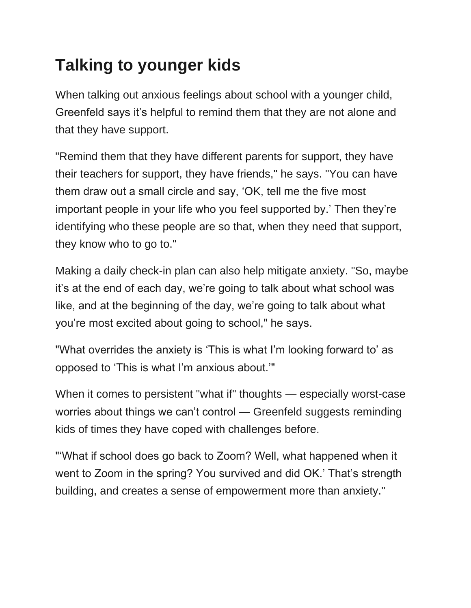## **Talking to younger kids**

When talking out anxious feelings about school with a younger child, Greenfeld says it's helpful to remind them that they are not alone and that they have support.

"Remind them that they have different parents for support, they have their teachers for support, they have friends," he says. "You can have them draw out a small circle and say, 'OK, tell me the five most important people in your life who you feel supported by.' Then they're identifying who these people are so that, when they need that support, they know who to go to."

Making a daily check-in plan can also help mitigate anxiety. "So, maybe it's at the end of each day, we're going to talk about what school was like, and at the beginning of the day, we're going to talk about what you're most excited about going to school," he says.

"What overrides the anxiety is 'This is what I'm looking forward to' as opposed to 'This is what I'm anxious about.'"

When it comes to persistent "what if" thoughts — especially worst-case worries about things we can't control — Greenfeld suggests reminding kids of times they have coped with challenges before.

"'What if school does go back to Zoom? Well, what happened when it went to Zoom in the spring? You survived and did OK.' That's strength building, and creates a sense of empowerment more than anxiety."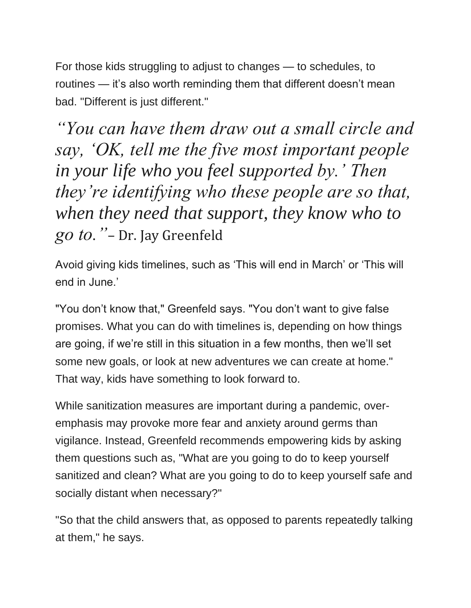For those kids struggling to adjust to changes — to schedules, to routines — it's also worth reminding them that different doesn't mean bad. "Different is just different."

*"You can have them draw out a small circle and say, 'OK, tell me the five most important people in your life who you feel supported by.' Then they're identifying who these people are so that, when they need that support, they know who to go to."*– Dr. Jay Greenfeld

Avoid giving kids timelines, such as 'This will end in March' or 'This will end in June.'

"You don't know that," Greenfeld says. "You don't want to give false promises. What you can do with timelines is, depending on how things are going, if we're still in this situation in a few months, then we'll set some new goals, or look at new adventures we can create at home." That way, kids have something to look forward to.

While sanitization measures are important during a pandemic, overemphasis may provoke more fear and anxiety around germs than vigilance. Instead, Greenfeld recommends empowering kids by asking them questions such as, "What are you going to do to keep yourself sanitized and clean? What are you going to do to keep yourself safe and socially distant when necessary?"

"So that the child answers that, as opposed to parents repeatedly talking at them," he says.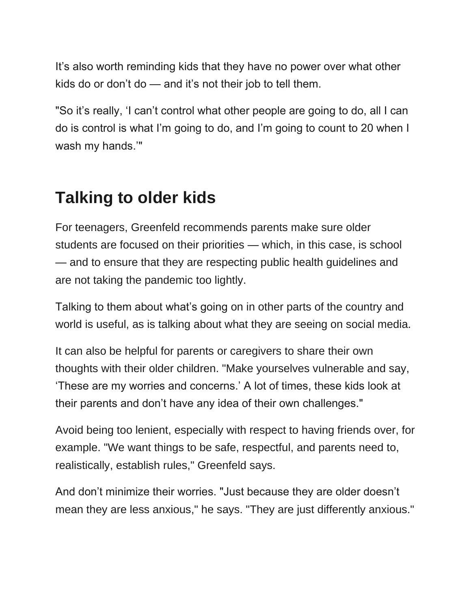It's also worth reminding kids that they have no power over what other kids do or don't do — and it's not their job to tell them.

"So it's really, 'I can't control what other people are going to do, all I can do is control is what I'm going to do, and I'm going to count to 20 when I wash my hands.'"

## **Talking to older kids**

For teenagers, Greenfeld recommends parents make sure older students are focused on their priorities — which, in this case, is school — and to ensure that they are respecting public health guidelines and are not taking the pandemic too lightly.

Talking to them about what's going on in other parts of the country and world is useful, as is talking about what they are seeing on social media.

It can also be helpful for parents or caregivers to share their own thoughts with their older children. "Make yourselves vulnerable and say, 'These are my worries and concerns.' A lot of times, these kids look at their parents and don't have any idea of their own challenges."

Avoid being too lenient, especially with respect to having friends over, for example. "We want things to be safe, respectful, and parents need to, realistically, establish rules," Greenfeld says.

And don't minimize their worries. "Just because they are older doesn't mean they are less anxious," he says. "They are just differently anxious."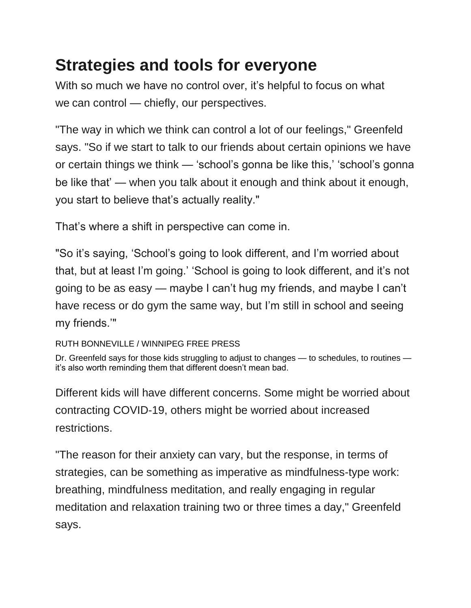## **Strategies and tools for everyone**

With so much we have no control over, it's helpful to focus on what we can control — chiefly, our perspectives.

"The way in which we think can control a lot of our feelings," Greenfeld says. "So if we start to talk to our friends about certain opinions we have or certain things we think — 'school's gonna be like this,' 'school's gonna be like that' — when you talk about it enough and think about it enough, you start to believe that's actually reality."

That's where a shift in perspective can come in.

"So it's saying, 'School's going to look different, and I'm worried about that, but at least I'm going.' 'School is going to look different, and it's not going to be as easy — maybe I can't hug my friends, and maybe I can't have recess or do gym the same way, but I'm still in school and seeing my friends.'"

RUTH BONNEVILLE / WINNIPEG FREE PRESS

Dr. Greenfeld says for those kids struggling to adjust to changes — to schedules, to routines it's also worth reminding them that different doesn't mean bad.

Different kids will have different concerns. Some might be worried about contracting COVID-19, others might be worried about increased restrictions.

"The reason for their anxiety can vary, but the response, in terms of strategies, can be something as imperative as mindfulness-type work: breathing, mindfulness meditation, and really engaging in regular meditation and relaxation training two or three times a day," Greenfeld says.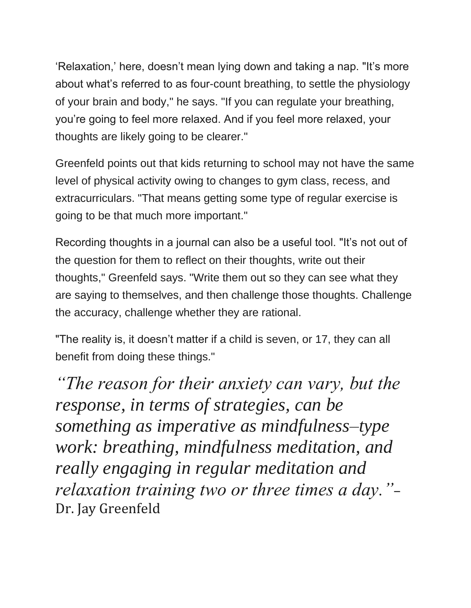'Relaxation,' here, doesn't mean lying down and taking a nap. "It's more about what's referred to as four-count breathing, to settle the physiology of your brain and body," he says. "If you can regulate your breathing, you're going to feel more relaxed. And if you feel more relaxed, your thoughts are likely going to be clearer."

Greenfeld points out that kids returning to school may not have the same level of physical activity owing to changes to gym class, recess, and extracurriculars. "That means getting some type of regular exercise is going to be that much more important."

Recording thoughts in a journal can also be a useful tool. "It's not out of the question for them to reflect on their thoughts, write out their thoughts," Greenfeld says. "Write them out so they can see what they are saying to themselves, and then challenge those thoughts. Challenge the accuracy, challenge whether they are rational.

"The reality is, it doesn't matter if a child is seven, or 17, they can all benefit from doing these things."

*"The reason for their anxiety can vary, but the response, in terms of strategies, can be something as imperative as mindfulness–type work: breathing, mindfulness meditation, and really engaging in regular meditation and relaxation training two or three times a day."*– Dr. Jay Greenfeld